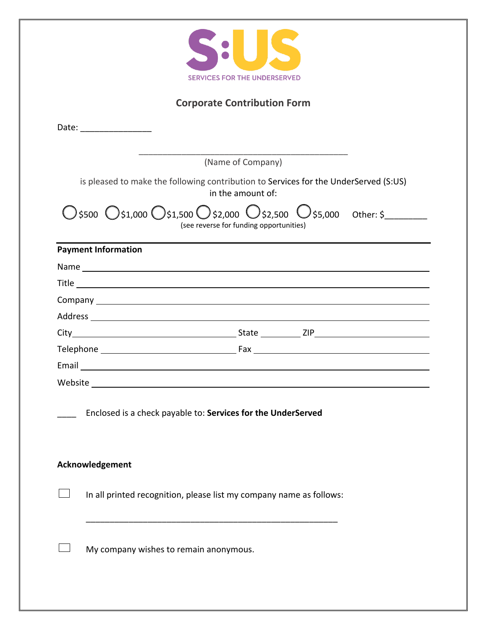

## **Corporate Contribution Form**

| Date: __________________                                                                                                                                                                                                             |                   |
|--------------------------------------------------------------------------------------------------------------------------------------------------------------------------------------------------------------------------------------|-------------------|
|                                                                                                                                                                                                                                      |                   |
|                                                                                                                                                                                                                                      | (Name of Company) |
| is pleased to make the following contribution to Services for the UnderServed (S:US)<br>in the amount of:                                                                                                                            |                   |
| ) \$500 0 \$1,000 0 \$1,500 0 \$2,000 0 \$2,500 0 \$5,000 0 ther: \$<br>(see reverse for funding opportunities)                                                                                                                      |                   |
| <b>Payment Information</b>                                                                                                                                                                                                           |                   |
|                                                                                                                                                                                                                                      |                   |
| Title <u>successive and the second contract of the second contract of the second contract of the second contract of the second contract of the second contract of the second contract of the second contract of the second contr</u> |                   |
|                                                                                                                                                                                                                                      |                   |
|                                                                                                                                                                                                                                      |                   |
|                                                                                                                                                                                                                                      |                   |
|                                                                                                                                                                                                                                      |                   |
|                                                                                                                                                                                                                                      |                   |
|                                                                                                                                                                                                                                      |                   |
| Enclosed is a check payable to: Services for the UnderServed                                                                                                                                                                         |                   |
| Acknowledgement                                                                                                                                                                                                                      |                   |
| In all printed recognition, please list my company name as follows:                                                                                                                                                                  |                   |
| My company wishes to remain anonymous.                                                                                                                                                                                               |                   |